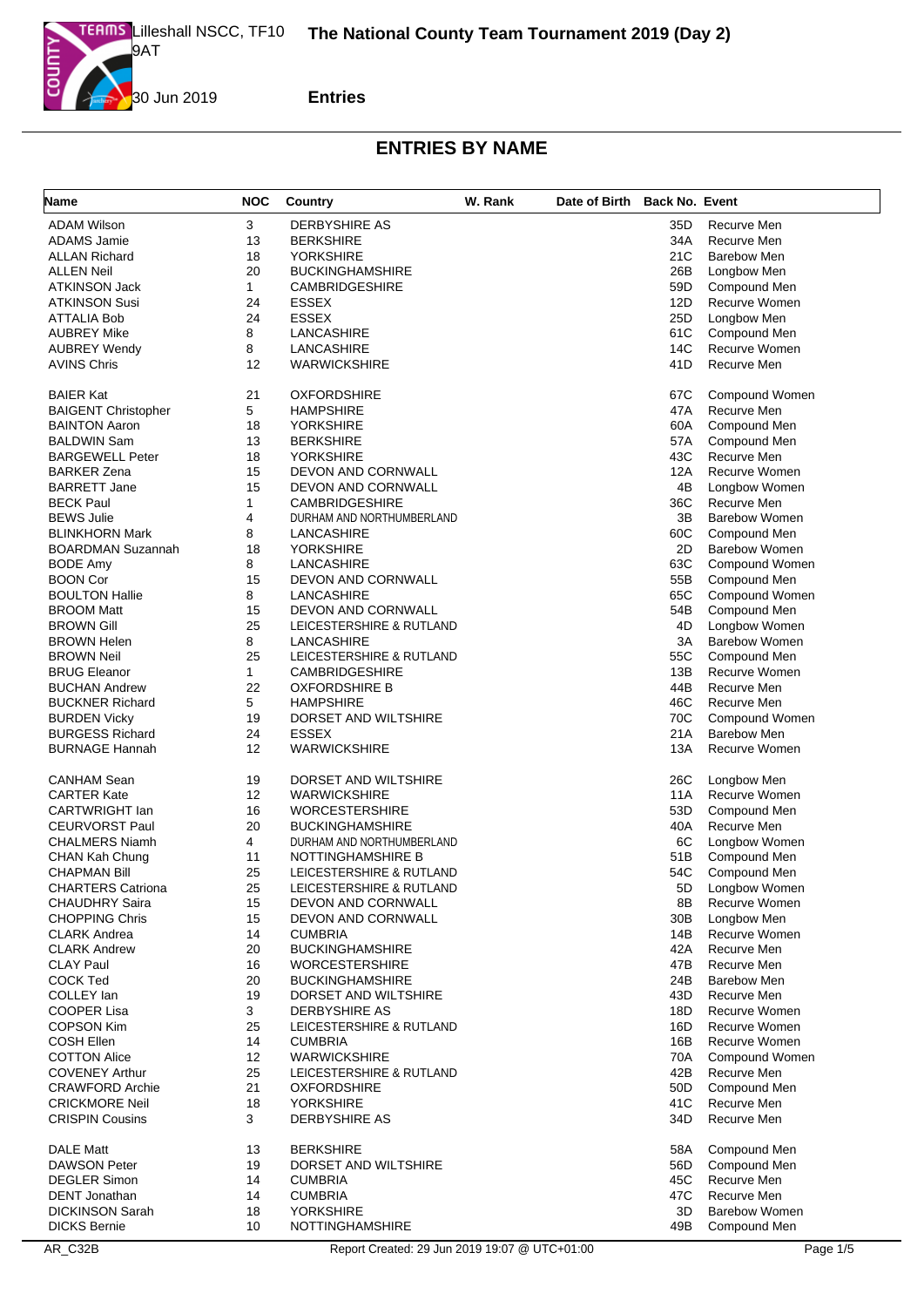

| <b>Name</b>                                     | <b>NOC</b> | Country                           | W. Rank | Date of Birth Back No. Event |            |                            |
|-------------------------------------------------|------------|-----------------------------------|---------|------------------------------|------------|----------------------------|
| <b>ADAM Wilson</b>                              | 3          | DERBYSHIRE AS                     |         |                              | 35D        | Recurve Men                |
| <b>ADAMS Jamie</b>                              | 13         | <b>BERKSHIRE</b>                  |         |                              | 34A        | Recurve Men                |
| <b>ALLAN Richard</b>                            | 18         | <b>YORKSHIRE</b>                  |         |                              | 21C        | <b>Barebow Men</b>         |
| <b>ALLEN Neil</b>                               | 20         | <b>BUCKINGHAMSHIRE</b>            |         |                              | 26B        | Longbow Men                |
| <b>ATKINSON Jack</b>                            | 1          | <b>CAMBRIDGESHIRE</b>             |         |                              | 59D        | Compound Men               |
| <b>ATKINSON Susi</b>                            | 24         | <b>ESSEX</b>                      |         |                              | 12D        | Recurve Women              |
| ATTALIA Bob                                     | 24         | <b>ESSEX</b>                      |         |                              | 25D        | Longbow Men                |
| <b>AUBREY Mike</b>                              | 8          | LANCASHIRE                        |         |                              | 61C        | Compound Men               |
| <b>AUBREY Wendy</b>                             | 8          | LANCASHIRE                        |         |                              | 14C        | Recurve Women              |
| <b>AVINS Chris</b>                              | 12         | <b>WARWICKSHIRE</b>               |         |                              | 41D        | Recurve Men                |
| <b>BAIER Kat</b>                                | 21         | <b>OXFORDSHIRE</b>                |         |                              | 67C        | Compound Women             |
| <b>BAIGENT Christopher</b>                      | 5          | <b>HAMPSHIRE</b>                  |         |                              | 47A        | Recurve Men                |
| <b>BAINTON Aaron</b>                            | 18         | <b>YORKSHIRE</b>                  |         |                              | 60A        | Compound Men               |
| <b>BALDWIN Sam</b>                              | 13         | <b>BERKSHIRE</b>                  |         |                              | 57A        | Compound Men               |
| <b>BARGEWELL Peter</b>                          | 18         | <b>YORKSHIRE</b>                  |         |                              | 43C        | Recurve Men                |
| <b>BARKER Zena</b>                              | 15         | DEVON AND CORNWALL                |         |                              | 12A        | Recurve Women              |
| <b>BARRETT Jane</b>                             | 15         | DEVON AND CORNWALL                |         |                              | 4B         | Longbow Women              |
| <b>BECK Paul</b>                                | 1          | <b>CAMBRIDGESHIRE</b>             |         |                              | 36C        | Recurve Men                |
| <b>BEWS Julie</b>                               | 4          | DURHAM AND NORTHUMBERLAND         |         |                              | 3B         | <b>Barebow Women</b>       |
| <b>BLINKHORN Mark</b>                           | 8          | LANCASHIRE                        |         |                              | 60C        | Compound Men               |
| <b>BOARDMAN Suzannah</b>                        | 18         | <b>YORKSHIRE</b>                  |         |                              | 2D         | <b>Barebow Women</b>       |
| <b>BODE Amy</b>                                 | 8          | LANCASHIRE                        |         |                              | 63C        | Compound Women             |
| <b>BOON Cor</b>                                 | 15         | DEVON AND CORNWALL                |         |                              | 55B        | Compound Men               |
| <b>BOULTON Hallie</b>                           | 8          | LANCASHIRE                        |         |                              | 65C        | Compound Women             |
| <b>BROOM Matt</b>                               | 15         | <b>DEVON AND CORNWALL</b>         |         |                              | 54B        | Compound Men               |
| <b>BROWN Gill</b>                               | 25         | LEICESTERSHIRE & RUTLAND          |         |                              | 4D         | Longbow Women              |
| <b>BROWN Helen</b>                              | 8          | LANCASHIRE                        |         |                              | 3A         | <b>Barebow Women</b>       |
| <b>BROWN Neil</b>                               | 25         | LEICESTERSHIRE & RUTLAND          |         |                              | 55C        | Compound Men               |
| <b>BRUG Eleanor</b>                             | 1          | <b>CAMBRIDGESHIRE</b>             |         |                              | 13B        | Recurve Women              |
| <b>BUCHAN Andrew</b>                            | 22         | <b>OXFORDSHIRE B</b>              |         |                              | 44B        | Recurve Men                |
| <b>BUCKNER Richard</b>                          | 5          | <b>HAMPSHIRE</b>                  |         |                              | 46C        | Recurve Men                |
| <b>BURDEN Vicky</b>                             | 19         | DORSET AND WILTSHIRE              |         |                              | 70C        | Compound Women             |
| <b>BURGESS Richard</b>                          | 24         | <b>ESSEX</b>                      |         |                              | 21A        | <b>Barebow Men</b>         |
| <b>BURNAGE Hannah</b>                           | 12         | <b>WARWICKSHIRE</b>               |         |                              | 13A        | Recurve Women              |
| <b>CANHAM Sean</b>                              | 19         | DORSET AND WILTSHIRE              |         |                              | 26C        | Longbow Men                |
| <b>CARTER Kate</b>                              | 12         | <b>WARWICKSHIRE</b>               |         |                              | 11A        | <b>Recurve Women</b>       |
| <b>CARTWRIGHT Ian</b>                           | 16         | <b>WORCESTERSHIRE</b>             |         |                              | 53D        | Compound Men               |
| <b>CEURVORST Paul</b>                           | 20         | <b>BUCKINGHAMSHIRE</b>            |         |                              | 40A        | Recurve Men                |
| <b>CHALMERS Niamh</b>                           | 4          | DURHAM AND NORTHUMBERLAND         |         |                              | 6C         | Longbow Women              |
| CHAN Kah Chung                                  | 11         | NOTTINGHAMSHIRE B                 |         |                              | 51B        | Compound Men               |
| <b>CHAPMAN Bill</b>                             | 25         | LEICESTERSHIRE & RUTLAND          |         |                              | 54C        | Compound Men               |
| <b>CHARTERS Catriona</b>                        | 25         | LEICESTERSHIRE & RUTLAND          |         |                              | 5D         | Longbow Women              |
| <b>CHAUDHRY Saira</b>                           | 15         | DEVON AND CORNWALL                |         |                              | 8B         | Recurve Women              |
| <b>CHOPPING Chris</b>                           | 15         | DEVON AND CORNWALL                |         |                              | 30B        | Longbow Men                |
| <b>CLARK Andrea</b>                             | 14         | <b>CUMBRIA</b>                    |         |                              | 14B        | Recurve Women              |
| <b>CLARK Andrew</b>                             | 20         | <b>BUCKINGHAMSHIRE</b>            |         |                              | 42A        | Recurve Men                |
| <b>CLAY Paul</b>                                | 16         | <b>WORCESTERSHIRE</b>             |         |                              | 47B        | Recurve Men                |
| <b>COCK Ted</b>                                 | 20         | <b>BUCKINGHAMSHIRE</b>            |         |                              | 24B        | Barebow Men                |
| COLLEY Ian                                      | 19         | DORSET AND WILTSHIRE              |         |                              | 43D        | Recurve Men                |
| COOPER Lisa                                     | 3          | DERBYSHIRE AS                     |         |                              | 18D        | Recurve Women              |
| <b>COPSON Kim</b>                               | 25         | LEICESTERSHIRE & RUTLAND          |         |                              | 16D        | Recurve Women              |
| <b>COSH Ellen</b>                               | 14         | <b>CUMBRIA</b>                    |         |                              | 16B        | Recurve Women              |
| <b>COTTON Alice</b>                             | 12         | <b>WARWICKSHIRE</b>               |         |                              | 70A        | Compound Women             |
| <b>COVENEY Arthur</b>                           | 25         | LEICESTERSHIRE & RUTLAND          |         |                              | 42B        | Recurve Men                |
| <b>CRAWFORD Archie</b>                          | 21         | <b>OXFORDSHIRE</b>                |         |                              | 50D        | Compound Men               |
| <b>CRICKMORE Neil</b><br><b>CRISPIN Cousins</b> | 18<br>3    | <b>YORKSHIRE</b><br>DERBYSHIRE AS |         |                              | 41C<br>34D | Recurve Men<br>Recurve Men |
|                                                 |            |                                   |         |                              |            |                            |
| <b>DALE Matt</b>                                | 13         | <b>BERKSHIRE</b>                  |         |                              | 58A        | Compound Men               |
| <b>DAWSON Peter</b>                             | 19         | DORSET AND WILTSHIRE              |         |                              | 56D        | Compound Men               |
| <b>DEGLER Simon</b>                             | 14         | <b>CUMBRIA</b>                    |         |                              | 45C        | Recurve Men                |
| <b>DENT</b> Jonathan                            | 14         | <b>CUMBRIA</b>                    |         |                              | 47C        | Recurve Men                |
| <b>DICKINSON Sarah</b>                          | 18         | <b>YORKSHIRE</b>                  |         |                              | 3D         | <b>Barebow Women</b>       |
| <b>DICKS Bernie</b>                             | 10         | <b>NOTTINGHAMSHIRE</b>            |         |                              | 49B        | Compound Men               |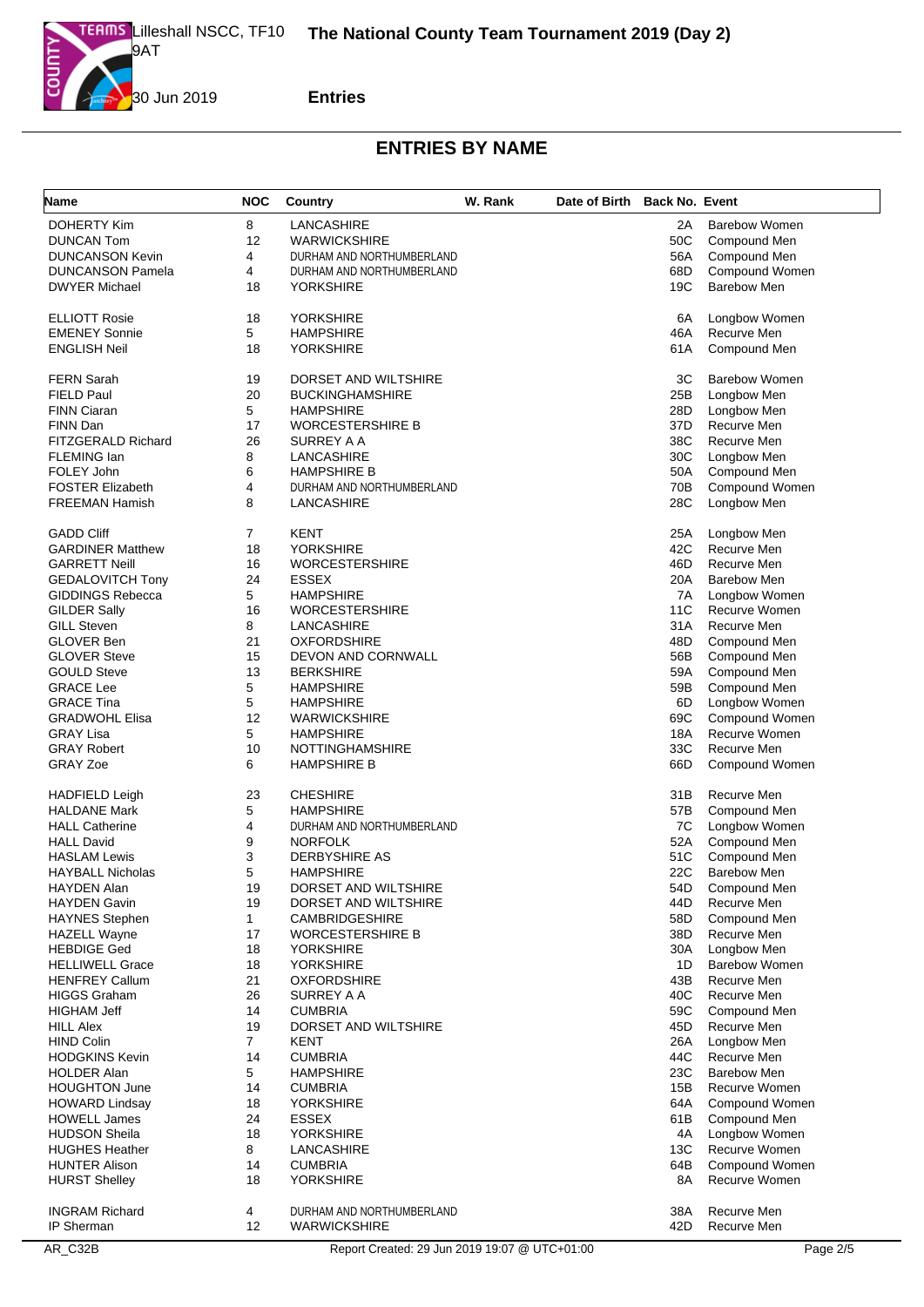

| Name                                         | <b>NOC</b>     | <b>Country</b>                                  | W. Rank | Date of Birth Back No. Event |            |                                    |
|----------------------------------------------|----------------|-------------------------------------------------|---------|------------------------------|------------|------------------------------------|
| <b>DOHERTY Kim</b>                           | 8              | LANCASHIRE                                      |         |                              | 2A         | <b>Barebow Women</b>               |
| <b>DUNCAN Tom</b>                            | 12             | <b>WARWICKSHIRE</b>                             |         |                              | 50C        | Compound Men                       |
| <b>DUNCANSON Kevin</b>                       | 4              | DURHAM AND NORTHUMBERLAND                       |         |                              | 56A        | Compound Men                       |
| <b>DUNCANSON Pamela</b>                      | 4              | DURHAM AND NORTHUMBERLAND                       |         |                              | 68D        | Compound Women                     |
| <b>DWYER Michael</b>                         | 18             | <b>YORKSHIRE</b>                                |         |                              | 19C        | <b>Barebow Men</b>                 |
|                                              |                |                                                 |         |                              |            |                                    |
| <b>ELLIOTT Rosie</b><br><b>EMENEY Sonnie</b> | 18<br>5        | <b>YORKSHIRE</b><br><b>HAMPSHIRE</b>            |         |                              | 6A<br>46A  | Longbow Women<br>Recurve Men       |
| <b>ENGLISH Neil</b>                          | 18             | <b>YORKSHIRE</b>                                |         |                              | 61A        | Compound Men                       |
|                                              |                |                                                 |         |                              |            |                                    |
| FERN Sarah                                   | 19             | DORSET AND WILTSHIRE                            |         |                              | ЗC         | <b>Barebow Women</b>               |
| FIELD Paul                                   | 20             | <b>BUCKINGHAMSHIRE</b>                          |         |                              | 25B        | Longbow Men                        |
| <b>FINN Ciaran</b>                           | 5              | <b>HAMPSHIRE</b>                                |         |                              | 28D        | Longbow Men                        |
| FINN Dan                                     | 17             | <b>WORCESTERSHIRE B</b>                         |         |                              | 37D        | Recurve Men                        |
| FITZGERALD Richard                           | 26             | SURREY A A                                      |         |                              | 38C        | Recurve Men                        |
| FLEMING Ian                                  | 8              | LANCASHIRE                                      |         |                              | 30C        | Longbow Men                        |
| FOLEY John<br><b>FOSTER Elizabeth</b>        | 6<br>4         | <b>HAMPSHIRE B</b><br>DURHAM AND NORTHUMBERLAND |         |                              | 50A<br>70B | Compound Men<br>Compound Women     |
| <b>FREEMAN Hamish</b>                        | 8              | LANCASHIRE                                      |         |                              | 28C        | Longbow Men                        |
|                                              |                |                                                 |         |                              |            |                                    |
| <b>GADD Cliff</b>                            | 7              | <b>KENT</b>                                     |         |                              | 25A        | Longbow Men                        |
| <b>GARDINER Matthew</b>                      | 18             | <b>YORKSHIRE</b>                                |         |                              | 42C        | Recurve Men                        |
| <b>GARRETT Neill</b>                         | 16             | <b>WORCESTERSHIRE</b>                           |         |                              | 46D        | Recurve Men                        |
| <b>GEDALOVITCH Tony</b>                      | 24             | <b>ESSEX</b>                                    |         |                              | 20A        | <b>Barebow Men</b>                 |
| <b>GIDDINGS Rebecca</b>                      | 5              | <b>HAMPSHIRE</b>                                |         |                              | 7A         | Longbow Women                      |
| <b>GILDER Sally</b>                          | 16             | <b>WORCESTERSHIRE</b>                           |         |                              | 11C        | Recurve Women                      |
| <b>GILL Steven</b>                           | 8              | LANCASHIRE                                      |         |                              | 31A        | Recurve Men                        |
| GLOVER Ben                                   | 21             | <b>OXFORDSHIRE</b>                              |         |                              | 48D        | Compound Men                       |
| <b>GLOVER Steve</b>                          | 15<br>13       | DEVON AND CORNWALL<br><b>BERKSHIRE</b>          |         |                              | 56B        | Compound Men                       |
| <b>GOULD Steve</b><br><b>GRACE Lee</b>       | 5              | <b>HAMPSHIRE</b>                                |         |                              | 59A<br>59B | Compound Men                       |
| <b>GRACE Tina</b>                            | 5              | <b>HAMPSHIRE</b>                                |         |                              | 6D         | Compound Men<br>Longbow Women      |
| <b>GRADWOHL Elisa</b>                        | 12             | <b>WARWICKSHIRE</b>                             |         |                              | 69C        | Compound Women                     |
| <b>GRAY Lisa</b>                             | 5              | <b>HAMPSHIRE</b>                                |         |                              | 18A        | <b>Recurve Women</b>               |
| <b>GRAY Robert</b>                           | 10             | <b>NOTTINGHAMSHIRE</b>                          |         |                              | 33C        | Recurve Men                        |
| <b>GRAY Zoe</b>                              | 6              | <b>HAMPSHIRE B</b>                              |         |                              | 66D        | Compound Women                     |
|                                              |                |                                                 |         |                              |            |                                    |
| <b>HADFIELD Leigh</b>                        | 23             | <b>CHESHIRE</b>                                 |         |                              | 31B        | Recurve Men                        |
| <b>HALDANE Mark</b>                          | 5              | <b>HAMPSHIRE</b>                                |         |                              | 57B        | Compound Men                       |
| <b>HALL Catherine</b>                        | 4              | DURHAM AND NORTHUMBERLAND                       |         |                              | 7C         | Longbow Women                      |
| <b>HALL David</b>                            | 9              | <b>NORFOLK</b>                                  |         |                              | 52A        | Compound Men                       |
| HASLAM Lewis                                 | 3<br>5         | <b>DERBYSHIRE AS</b><br><b>HAMPSHIRE</b>        |         |                              | 51C<br>22C | Compound Men<br><b>Barebow Men</b> |
| HAYBALL Nicholas<br>HAYDEN Alan              | 19             | DORSET AND WILTSHIRE                            |         |                              | 54D        | Compound Men                       |
| HAYDEN Gavin                                 | 19             | DORSET AND WILTSHIRE                            |         |                              | 44D        | Recurve Men                        |
| <b>HAYNES Stephen</b>                        | $\mathbf{1}$   | <b>CAMBRIDGESHIRE</b>                           |         |                              | 58D        | Compound Men                       |
| <b>HAZELL Wayne</b>                          | 17             | <b>WORCESTERSHIRE B</b>                         |         |                              | 38D        | Recurve Men                        |
| HEBDIGE Ged                                  | 18             | YORKSHIRE                                       |         |                              | 30A        | Longbow Men                        |
| <b>HELLIWELL Grace</b>                       | 18             | <b>YORKSHIRE</b>                                |         |                              | 1D         | <b>Barebow Women</b>               |
| <b>HENFREY Callum</b>                        | 21             | <b>OXFORDSHIRE</b>                              |         |                              | 43B        | Recurve Men                        |
| <b>HIGGS Graham</b>                          | 26             | SURREY A A                                      |         |                              | 40C        | Recurve Men                        |
| <b>HIGHAM Jeff</b>                           | 14             | <b>CUMBRIA</b>                                  |         |                              | 59C        | Compound Men                       |
| <b>HILL Alex</b>                             | 19             | DORSET AND WILTSHIRE                            |         |                              | 45D        | Recurve Men                        |
| <b>HIND Colin</b>                            | $\overline{7}$ | <b>KENT</b>                                     |         |                              | 26A        | Longbow Men                        |
| HODGKINS Kevin                               | 14             | <b>CUMBRIA</b>                                  |         |                              | 44C        | Recurve Men                        |
| <b>HOLDER Alan</b>                           | 5              | <b>HAMPSHIRE</b>                                |         |                              | 23C        | <b>Barebow Men</b>                 |
| <b>HOUGHTON June</b>                         | 14             | <b>CUMBRIA</b>                                  |         |                              | 15B        | Recurve Women                      |
| <b>HOWARD Lindsay</b>                        | 18             | <b>YORKSHIRE</b>                                |         |                              | 64A        | Compound Women                     |
| <b>HOWELL James</b>                          | 24             | <b>ESSEX</b>                                    |         |                              | 61B        | Compound Men                       |
| <b>HUDSON Sheila</b>                         | 18             | <b>YORKSHIRE</b>                                |         |                              | 4A         | Longbow Women                      |
| <b>HUGHES Heather</b>                        | 8              | LANCASHIRE                                      |         |                              | 13C        | Recurve Women                      |
| <b>HUNTER Alison</b>                         | 14             | <b>CUMBRIA</b>                                  |         |                              | 64B        | Compound Women                     |
| <b>HURST Shelley</b>                         | 18             | <b>YORKSHIRE</b>                                |         |                              | 8A         | Recurve Women                      |
| <b>INGRAM Richard</b>                        | 4              | DURHAM AND NORTHUMBERLAND                       |         |                              | 38A        | Recurve Men                        |
| IP Sherman                                   | 12             | <b>WARWICKSHIRE</b>                             |         |                              | 42D        | Recurve Men                        |
|                                              |                |                                                 |         |                              |            |                                    |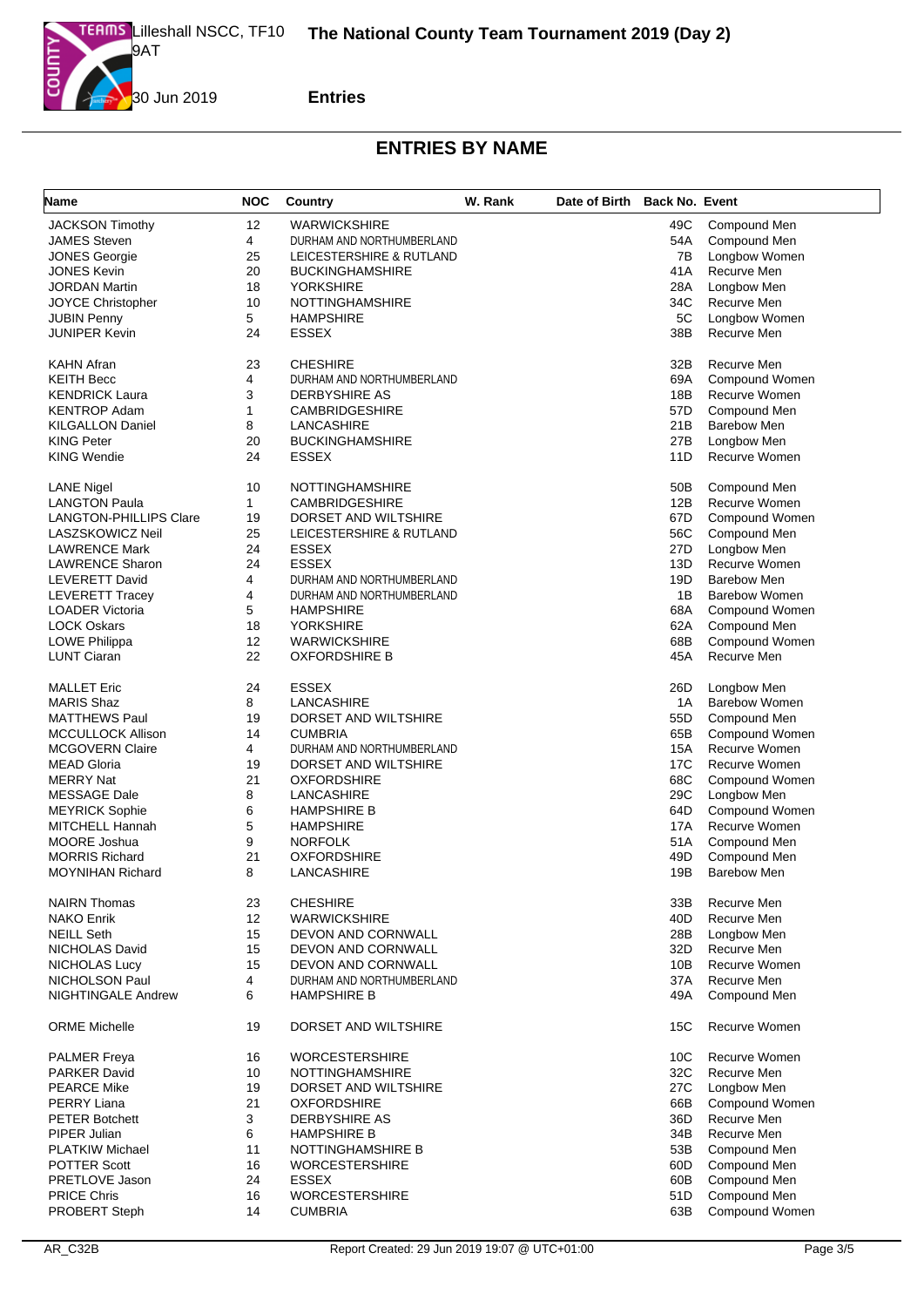

| Name                          | <b>NOC</b>   | Country                   | W. Rank | Date of Birth Back No. Event |     |                      |
|-------------------------------|--------------|---------------------------|---------|------------------------------|-----|----------------------|
| <b>JACKSON Timothy</b>        | 12           | <b>WARWICKSHIRE</b>       |         |                              | 49C | Compound Men         |
| <b>JAMES Steven</b>           | 4            | DURHAM AND NORTHUMBERLAND |         |                              | 54A | Compound Men         |
| <b>JONES Georgie</b>          | 25           | LEICESTERSHIRE & RUTLAND  |         |                              | 7В  | Longbow Women        |
| <b>JONES Kevin</b>            | 20           | <b>BUCKINGHAMSHIRE</b>    |         |                              | 41A | Recurve Men          |
| <b>JORDAN Martin</b>          | 18           | <b>YORKSHIRE</b>          |         |                              | 28A | Longbow Men          |
| <b>JOYCE Christopher</b>      | 10           | <b>NOTTINGHAMSHIRE</b>    |         |                              | 34C | Recurve Men          |
| <b>JUBIN Penny</b>            | 5            | <b>HAMPSHIRE</b>          |         |                              | 5C  | Longbow Women        |
| <b>JUNIPER Kevin</b>          | 24           | <b>ESSEX</b>              |         |                              | 38B | Recurve Men          |
|                               |              |                           |         |                              |     |                      |
| <b>KAHN Afran</b>             | 23           | <b>CHESHIRE</b>           |         |                              | 32B | Recurve Men          |
| <b>KEITH Becc</b>             | 4            | DURHAM AND NORTHUMBERLAND |         |                              | 69A | Compound Women       |
| <b>KENDRICK Laura</b>         | 3            | DERBYSHIRE AS             |         |                              | 18B | Recurve Women        |
| <b>KENTROP Adam</b>           | 1            | <b>CAMBRIDGESHIRE</b>     |         |                              | 57D | Compound Men         |
| <b>KILGALLON Daniel</b>       | 8            | LANCASHIRE                |         |                              | 21B | <b>Barebow Men</b>   |
| <b>KING Peter</b>             | 20           | <b>BUCKINGHAMSHIRE</b>    |         |                              | 27B | Longbow Men          |
| <b>KING Wendie</b>            | 24           | <b>ESSEX</b>              |         |                              | 11D | Recurve Women        |
| <b>LANE Nigel</b>             | 10           | <b>NOTTINGHAMSHIRE</b>    |         |                              | 50B | Compound Men         |
| <b>LANGTON Paula</b>          | $\mathbf{1}$ | <b>CAMBRIDGESHIRE</b>     |         |                              | 12B | Recurve Women        |
| <b>LANGTON-PHILLIPS Clare</b> | 19           | DORSET AND WILTSHIRE      |         |                              | 67D | Compound Women       |
| LASZSKOWICZ Neil              | 25           | LEICESTERSHIRE & RUTLAND  |         |                              | 56C | Compound Men         |
| <b>LAWRENCE Mark</b>          | 24           | <b>ESSEX</b>              |         |                              | 27D | Longbow Men          |
| <b>LAWRENCE Sharon</b>        | 24           | <b>ESSEX</b>              |         |                              | 13D | Recurve Women        |
| LEVERETT David                | 4            | DURHAM AND NORTHUMBERLAND |         |                              | 19D | <b>Barebow Men</b>   |
| LEVERETT Tracey               | 4            | DURHAM AND NORTHUMBERLAND |         |                              | 1B  | <b>Barebow Women</b> |
| <b>LOADER Victoria</b>        | 5            | HAMPSHIRE                 |         |                              | 68A | Compound Women       |
| <b>LOCK Oskars</b>            | 18           | <b>YORKSHIRE</b>          |         |                              | 62A | Compound Men         |
| LOWE Philippa                 | 12           | <b>WARWICKSHIRE</b>       |         |                              | 68B | Compound Women       |
| <b>LUNT Ciaran</b>            | 22           | <b>OXFORDSHIRE B</b>      |         |                              | 45A | Recurve Men          |
|                               |              |                           |         |                              |     |                      |
| <b>MALLET Eric</b>            | 24           | <b>ESSEX</b>              |         |                              | 26D | Longbow Men          |
| <b>MARIS Shaz</b>             | 8            | LANCASHIRE                |         |                              | 1A  | <b>Barebow Women</b> |
| <b>MATTHEWS Paul</b>          | 19           | DORSET AND WILTSHIRE      |         |                              | 55D | Compound Men         |
| <b>MCCULLOCK Allison</b>      | 14           | <b>CUMBRIA</b>            |         |                              | 65B | Compound Women       |
| <b>MCGOVERN Claire</b>        | 4            | DURHAM AND NORTHUMBERLAND |         |                              | 15A | Recurve Women        |
| <b>MEAD Gloria</b>            | 19           | DORSET AND WILTSHIRE      |         |                              | 17C | Recurve Women        |
| <b>MERRY Nat</b>              | 21           | <b>OXFORDSHIRE</b>        |         |                              | 68C | Compound Women       |
| <b>MESSAGE Dale</b>           | 8            | LANCASHIRE                |         |                              | 29C | Longbow Men          |
| <b>MEYRICK Sophie</b>         | 6            | <b>HAMPSHIRE B</b>        |         |                              | 64D | Compound Women       |
| MITCHELL Hannah               | 5            | <b>HAMPSHIRE</b>          |         |                              | 17A | Recurve Women        |
| <b>MOORE Joshua</b>           | 9            | <b>NORFOLK</b>            |         |                              | 51A | Compound Men         |
| <b>MORRIS Richard</b>         | 21           | <b>OXFORDSHIRE</b>        |         |                              | 49D | Compound Men         |
| <b>MOYNIHAN Richard</b>       | 8            | LANCASHIRE                |         |                              | 19B | <b>Barebow Men</b>   |
|                               |              |                           |         |                              |     |                      |
| <b>NAIRN Thomas</b>           | 23           | <b>CHESHIRE</b>           |         |                              | 33B | Recurve Men          |
| <b>NAKO Enrik</b>             | 12           | <b>WARWICKSHIRE</b>       |         |                              | 40D | Recurve Men          |
| <b>NEILL Seth</b>             | 15           | DEVON AND CORNWALL        |         |                              | 28B | Longbow Men          |
| NICHOLAS David                | 15           | <b>DEVON AND CORNWALL</b> |         |                              | 32D | Recurve Men          |
| NICHOLAS Lucy                 | 15           | DEVON AND CORNWALL        |         |                              | 10B | Recurve Women        |
| NICHOLSON Paul                | 4            | DURHAM AND NORTHUMBERLAND |         |                              | 37A | Recurve Men          |
| <b>NIGHTINGALE Andrew</b>     | 6            | <b>HAMPSHIRE B</b>        |         |                              | 49A | Compound Men         |
| <b>ORME Michelle</b>          | 19           | DORSET AND WILTSHIRE      |         |                              | 15C | Recurve Women        |
| <b>PALMER Freya</b>           | 16           | <b>WORCESTERSHIRE</b>     |         |                              | 10C | Recurve Women        |
| <b>PARKER David</b>           | 10           | <b>NOTTINGHAMSHIRE</b>    |         |                              | 32C | Recurve Men          |
| <b>PEARCE Mike</b>            | 19           | DORSET AND WILTSHIRE      |         |                              | 27C | Longbow Men          |
| <b>PERRY Liana</b>            | 21           | <b>OXFORDSHIRE</b>        |         |                              | 66B | Compound Women       |
| <b>PETER Botchett</b>         | 3            | DERBYSHIRE AS             |         |                              | 36D | Recurve Men          |
| PIPER Julian                  | 6            | <b>HAMPSHIRE B</b>        |         |                              | 34B | Recurve Men          |
| <b>PLATKIW Michael</b>        | 11           | NOTTINGHAMSHIRE B         |         |                              | 53B | Compound Men         |
| <b>POTTER Scott</b>           | 16           | <b>WORCESTERSHIRE</b>     |         |                              | 60D | Compound Men         |
| PRETLOVE Jason                | 24           | <b>ESSEX</b>              |         |                              | 60B | Compound Men         |
| <b>PRICE Chris</b>            | 16           | <b>WORCESTERSHIRE</b>     |         |                              | 51D | Compound Men         |
| PROBERT Steph                 | 14           | <b>CUMBRIA</b>            |         |                              | 63B | Compound Women       |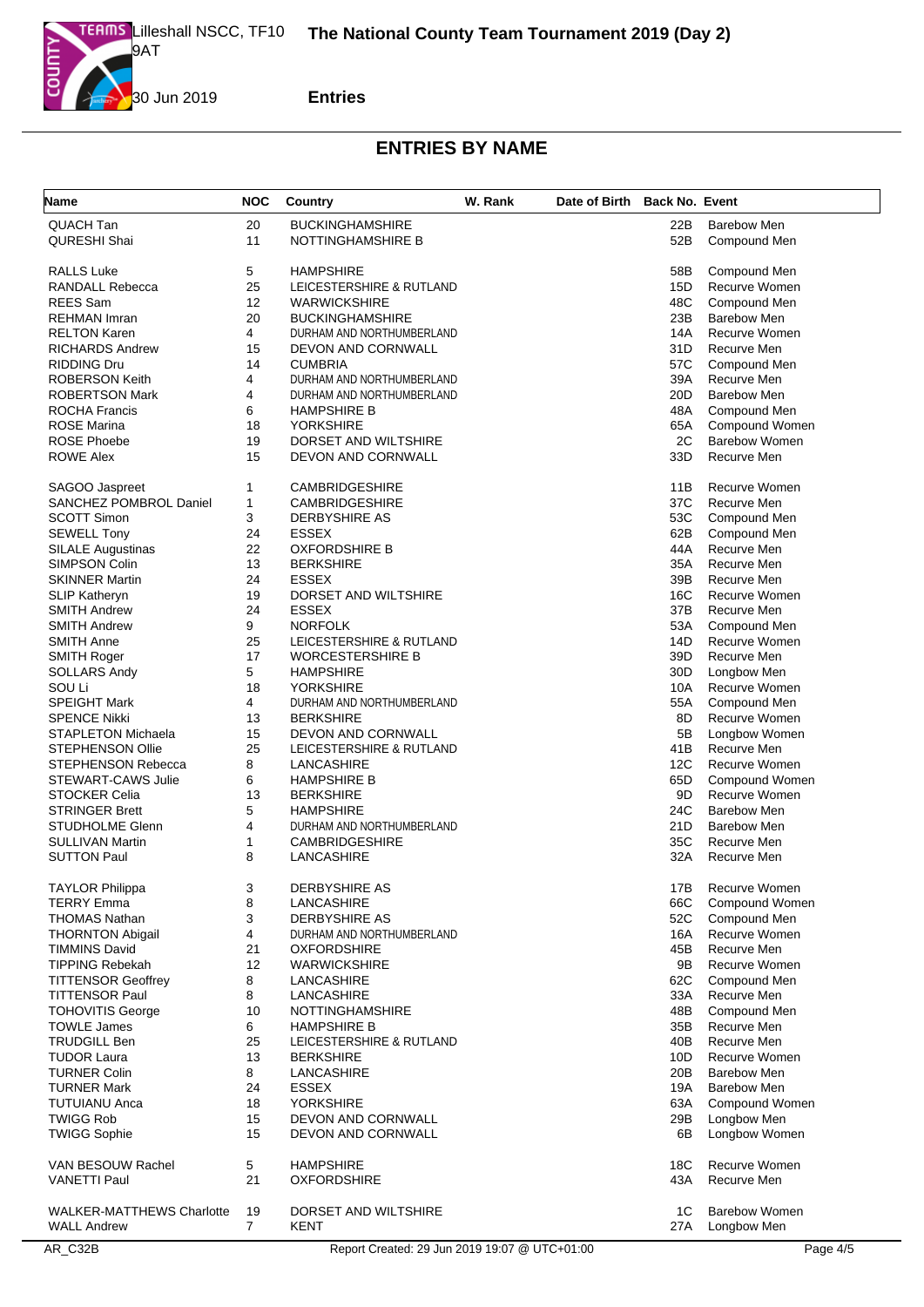

| Name                             | <b>NOC</b>     | Country                   | W. Rank | Date of Birth Back No. Event |     |                      |
|----------------------------------|----------------|---------------------------|---------|------------------------------|-----|----------------------|
| QUACH Tan                        | 20             | <b>BUCKINGHAMSHIRE</b>    |         |                              | 22B | <b>Barebow Men</b>   |
| <b>QURESHI Shai</b>              | 11             | NOTTINGHAMSHIRE B         |         |                              | 52B | Compound Men         |
|                                  |                |                           |         |                              |     |                      |
| <b>RALLS Luke</b>                | 5              | <b>HAMPSHIRE</b>          |         |                              | 58B | Compound Men         |
| RANDALL Rebecca                  | 25             | LEICESTERSHIRE & RUTLAND  |         |                              | 15D | Recurve Women        |
| <b>REES</b> Sam                  | 12             | <b>WARWICKSHIRE</b>       |         |                              | 48C | Compound Men         |
| <b>REHMAN Imran</b>              | 20             | <b>BUCKINGHAMSHIRE</b>    |         |                              | 23B | <b>Barebow Men</b>   |
| <b>RELTON Karen</b>              | 4              | DURHAM AND NORTHUMBERLAND |         |                              | 14A | Recurve Women        |
| <b>RICHARDS Andrew</b>           | 15             | DEVON AND CORNWALL        |         |                              | 31D | Recurve Men          |
| <b>RIDDING Dru</b>               | 14             | <b>CUMBRIA</b>            |         |                              | 57C | Compound Men         |
| <b>ROBERSON Keith</b>            | $\overline{4}$ | DURHAM AND NORTHUMBERLAND |         |                              | 39A | Recurve Men          |
| <b>ROBERTSON Mark</b>            | 4              | DURHAM AND NORTHUMBERLAND |         |                              | 20D | <b>Barebow Men</b>   |
| <b>ROCHA Francis</b>             | 6              | <b>HAMPSHIRE B</b>        |         |                              | 48A | Compound Men         |
| <b>ROSE Marina</b>               | 18             | <b>YORKSHIRE</b>          |         |                              | 65A | Compound Women       |
| <b>ROSE Phoebe</b>               | 19             | DORSET AND WILTSHIRE      |         |                              | 2C  | <b>Barebow Women</b> |
| <b>ROWE Alex</b>                 | 15             | DEVON AND CORNWALL        |         |                              | 33D | Recurve Men          |
| SAGOO Jaspreet                   | 1              | <b>CAMBRIDGESHIRE</b>     |         |                              | 11B | Recurve Women        |
| SANCHEZ POMBROL Daniel           | 1              | <b>CAMBRIDGESHIRE</b>     |         |                              | 37C | Recurve Men          |
| <b>SCOTT Simon</b>               | 3              | DERBYSHIRE AS             |         |                              | 53C | Compound Men         |
| <b>SEWELL Tony</b>               | 24             | <b>ESSEX</b>              |         |                              | 62B | Compound Men         |
| <b>SILALE Augustinas</b>         | 22             | <b>OXFORDSHIRE B</b>      |         |                              | 44A | Recurve Men          |
| SIMPSON Colin                    | 13             | <b>BERKSHIRE</b>          |         |                              | 35A | Recurve Men          |
| <b>SKINNER Martin</b>            | 24             | <b>ESSEX</b>              |         |                              | 39B | Recurve Men          |
| SLIP Katheryn                    | 19             | DORSET AND WILTSHIRE      |         |                              | 16C | Recurve Women        |
| <b>SMITH Andrew</b>              | 24             | <b>ESSEX</b>              |         |                              | 37B | Recurve Men          |
| <b>SMITH Andrew</b>              | 9              | <b>NORFOLK</b>            |         |                              | 53A | Compound Men         |
| <b>SMITH Anne</b>                | 25             | LEICESTERSHIRE & RUTLAND  |         |                              | 14D | Recurve Women        |
| <b>SMITH Roger</b>               | 17             | <b>WORCESTERSHIRE B</b>   |         |                              | 39D | Recurve Men          |
| <b>SOLLARS Andy</b>              | 5              | <b>HAMPSHIRE</b>          |         |                              | 30D | Longbow Men          |
| SOU Li                           | 18             | <b>YORKSHIRE</b>          |         |                              | 10A | Recurve Women        |
| <b>SPEIGHT Mark</b>              | 4              | DURHAM AND NORTHUMBERLAND |         |                              | 55A | Compound Men         |
| <b>SPENCE Nikki</b>              | 13             | <b>BERKSHIRE</b>          |         |                              | 8D  | Recurve Women        |
| <b>STAPLETON Michaela</b>        | 15             | DEVON AND CORNWALL        |         |                              | 5B  | Longbow Women        |
| <b>STEPHENSON Ollie</b>          | 25             | LEICESTERSHIRE & RUTLAND  |         |                              | 41B | Recurve Men          |
| STEPHENSON Rebecca               | 8              | LANCASHIRE                |         |                              | 12C | Recurve Women        |
| STEWART-CAWS Julie               | 6              | <b>HAMPSHIRE B</b>        |         |                              | 65D | Compound Women       |
| <b>STOCKER Celia</b>             | 13             | <b>BERKSHIRE</b>          |         |                              | 9D  | Recurve Women        |
| <b>STRINGER Brett</b>            | 5              | <b>HAMPSHIRE</b>          |         |                              | 24C | <b>Barebow Men</b>   |
| STUDHOLME Glenn                  | 4              | DURHAM AND NORTHUMBERLAND |         |                              | 21D | <b>Barebow Men</b>   |
| <b>SULLIVAN Martin</b>           | 1              | <b>CAMBRIDGESHIRE</b>     |         |                              | 35C | Recurve Men          |
| <b>SUTTON Paul</b>               | 8              | LANCASHIRE                |         |                              | 32A | Recurve Men          |
| <b>TAYLOR Philippa</b>           | 3              | <b>DERBYSHIRE AS</b>      |         |                              | 17B | Recurve Women        |
| <b>TERRY Emma</b>                | 8              | LANCASHIRE                |         |                              | 66C | Compound Women       |
| <b>THOMAS Nathan</b>             | 3              | <b>DERBYSHIRE AS</b>      |         |                              | 52C | Compound Men         |
| <b>THORNTON Abigail</b>          | 4              | DURHAM AND NORTHUMBERLAND |         |                              | 16A | Recurve Women        |
| <b>TIMMINS David</b>             | 21             | <b>OXFORDSHIRE</b>        |         |                              | 45B | Recurve Men          |
| <b>TIPPING Rebekah</b>           | 12             | <b>WARWICKSHIRE</b>       |         |                              | 9Β  | Recurve Women        |
| <b>TITTENSOR Geoffrey</b>        | 8              | LANCASHIRE                |         |                              | 62C | Compound Men         |
| <b>TITTENSOR Paul</b>            | 8              | LANCASHIRE                |         |                              | 33A | Recurve Men          |
| <b>TOHOVITIS George</b>          | 10             | <b>NOTTINGHAMSHIRE</b>    |         |                              | 48B | Compound Men         |
| <b>TOWLE James</b>               | 6              | <b>HAMPSHIRE B</b>        |         |                              | 35B | Recurve Men          |
| <b>TRUDGILL Ben</b>              | 25             | LEICESTERSHIRE & RUTLAND  |         |                              | 40B | Recurve Men          |
| <b>TUDOR Laura</b>               | 13             | <b>BERKSHIRE</b>          |         |                              | 10D | Recurve Women        |
| <b>TURNER Colin</b>              | 8              | LANCASHIRE                |         |                              | 20B | <b>Barebow Men</b>   |
| <b>TURNER Mark</b>               | 24             | <b>ESSEX</b>              |         |                              | 19A | <b>Barebow Men</b>   |
| <b>TUTUIANU Anca</b>             | 18             | <b>YORKSHIRE</b>          |         |                              | 63A | Compound Women       |
| <b>TWIGG Rob</b>                 | 15             | DEVON AND CORNWALL        |         |                              | 29B | Longbow Men          |
| <b>TWIGG Sophie</b>              | 15             | DEVON AND CORNWALL        |         |                              | 6B  | Longbow Women        |
| VAN BESOUW Rachel                | 5              | <b>HAMPSHIRE</b>          |         |                              | 18C | Recurve Women        |
| <b>VANETTI Paul</b>              | 21             | <b>OXFORDSHIRE</b>        |         |                              | 43A | Recurve Men          |
|                                  |                |                           |         |                              |     |                      |
| <b>WALKER-MATTHEWS Charlotte</b> | 19             | DORSET AND WILTSHIRE      |         |                              | 1C  | <b>Barebow Women</b> |
| <b>WALL Andrew</b>               | $\overline{7}$ | KENT                      |         |                              | 27A | Longbow Men          |
|                                  |                |                           |         |                              |     |                      |